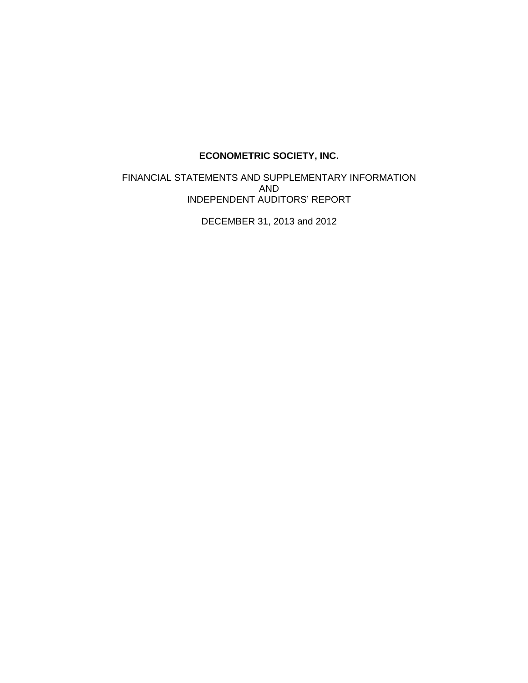FINANCIAL STATEMENTS AND SUPPLEMENTARY INFORMATION AND INDEPENDENT AUDITORS' REPORT

DECEMBER 31, 2013 and 2012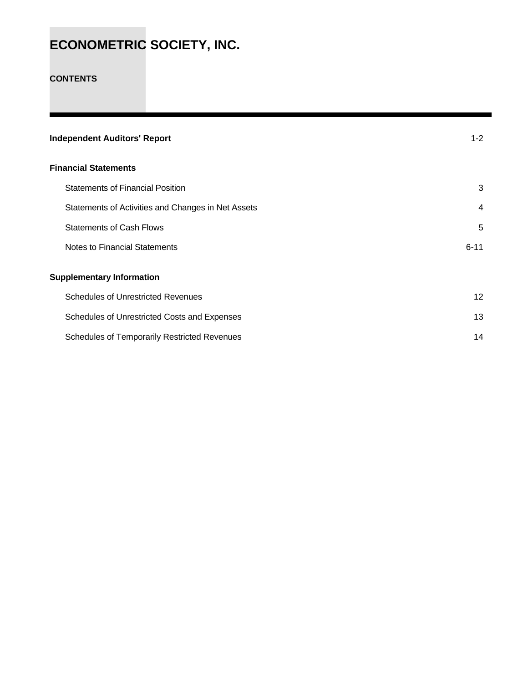### **CONTENTS**

| <b>Independent Auditors' Report</b>                 | $1 - 2$  |
|-----------------------------------------------------|----------|
| <b>Financial Statements</b>                         |          |
| <b>Statements of Financial Position</b>             | 3        |
| Statements of Activities and Changes in Net Assets  | 4        |
| <b>Statements of Cash Flows</b>                     | 5        |
| Notes to Financial Statements                       | $6 - 11$ |
| <b>Supplementary Information</b>                    |          |
| <b>Schedules of Unrestricted Revenues</b>           | 12       |
| Schedules of Unrestricted Costs and Expenses        | 13       |
| <b>Schedules of Temporarily Restricted Revenues</b> | 14       |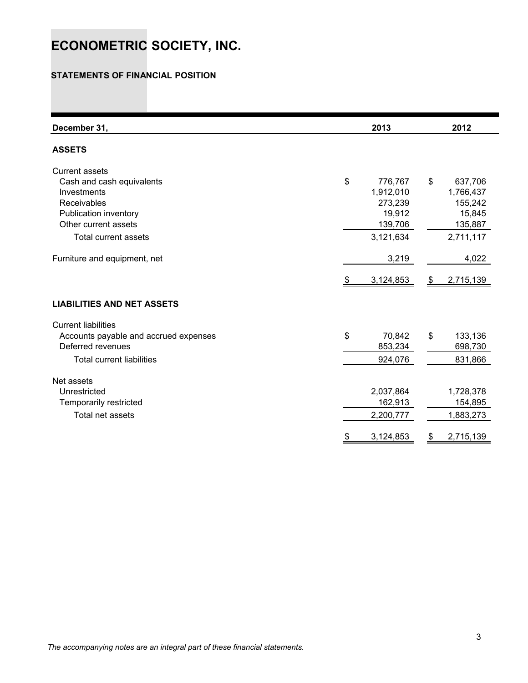### **STATEMENTS OF FINANCIAL POSITION**

| December 31,                                                                                                                                                     | 2013                                                                    |               | 2012                                                              |
|------------------------------------------------------------------------------------------------------------------------------------------------------------------|-------------------------------------------------------------------------|---------------|-------------------------------------------------------------------|
| <b>ASSETS</b>                                                                                                                                                    |                                                                         |               |                                                                   |
| <b>Current assets</b><br>Cash and cash equivalents<br>Investments<br>Receivables<br>Publication inventory<br>Other current assets<br><b>Total current assets</b> | \$<br>776,767<br>1,912,010<br>273,239<br>19,912<br>139,706<br>3,121,634 | \$            | 637,706<br>1,766,437<br>155,242<br>15,845<br>135,887<br>2,711,117 |
| Furniture and equipment, net                                                                                                                                     | 3,219                                                                   |               | 4,022                                                             |
| <b>LIABILITIES AND NET ASSETS</b>                                                                                                                                | \$<br>3,124,853                                                         | $\frac{1}{2}$ | 2,715,139                                                         |
|                                                                                                                                                                  |                                                                         |               |                                                                   |
| <b>Current liabilities</b><br>Accounts payable and accrued expenses<br>Deferred revenues<br><b>Total current liabilities</b>                                     | \$<br>70,842<br>853,234<br>924,076                                      | \$            | 133,136<br>698,730<br>831,866                                     |
| Net assets<br>Unrestricted<br>Temporarily restricted<br>Total net assets                                                                                         | 2,037,864<br>162,913<br>2,200,777                                       |               | 1,728,378<br>154,895<br>1,883,273                                 |
|                                                                                                                                                                  | 3,124,853                                                               | \$            | 2,715,139                                                         |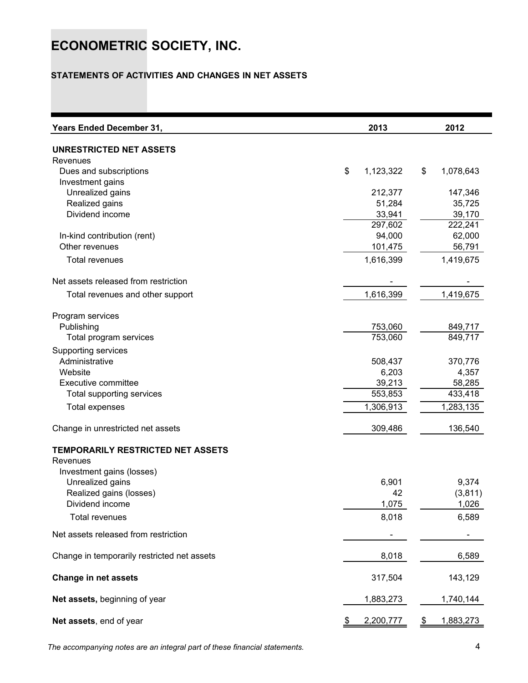### **STATEMENTS OF ACTIVITIES AND CHANGES IN NET ASSETS**

| <b>Years Ended December 31,</b>             | 2013              | 2012            |
|---------------------------------------------|-------------------|-----------------|
| UNRESTRICTED NET ASSETS                     |                   |                 |
| Revenues                                    |                   |                 |
| Dues and subscriptions                      | \$<br>1,123,322   | \$<br>1,078,643 |
| Investment gains                            |                   |                 |
| Unrealized gains                            | 212,377           | 147,346         |
| Realized gains                              | 51,284            | 35,725          |
| Dividend income                             | 33,941            | 39,170          |
|                                             | 297,602           | 222,241         |
| In-kind contribution (rent)                 | 94,000            | 62,000          |
| Other revenues                              | 101,475           | 56,791          |
| Total revenues                              | 1,616,399         | 1,419,675       |
| Net assets released from restriction        |                   |                 |
| Total revenues and other support            | 1,616,399         | 1,419,675       |
| Program services                            |                   |                 |
| Publishing                                  | 753,060           | 849,717         |
| Total program services                      | 753,060           | 849,717         |
|                                             |                   |                 |
| Supporting services<br>Administrative       |                   |                 |
|                                             | 508,437           | 370,776         |
| Website<br>Executive committee              | 6,203             | 4,357           |
|                                             | 39,213<br>553,853 | 58,285          |
| Total supporting services                   |                   | 433,418         |
| <b>Total expenses</b>                       | 1,306,913         | 1,283,135       |
| Change in unrestricted net assets           | 309,486           | 136,540         |
| TEMPORARILY RESTRICTED NET ASSETS           |                   |                 |
| Revenues                                    |                   |                 |
| Investment gains (losses)                   |                   |                 |
| Unrealized gains                            | 6,901             | 9,374           |
| Realized gains (losses)                     | 42                | (3,811)         |
| Dividend income                             | 1,075             | 1,026           |
| <b>Total revenues</b>                       | 8,018             | 6,589           |
| Net assets released from restriction        |                   |                 |
| Change in temporarily restricted net assets | 8,018             | 6,589           |
| Change in net assets                        | 317,504           | 143,129         |
| Net assets, beginning of year               | 1,883,273         | 1,740,144       |
| Net assets, end of year                     | 2,200,777         | 1,883,273       |

*The accompanying notes are an integral part of these financial statements.* 4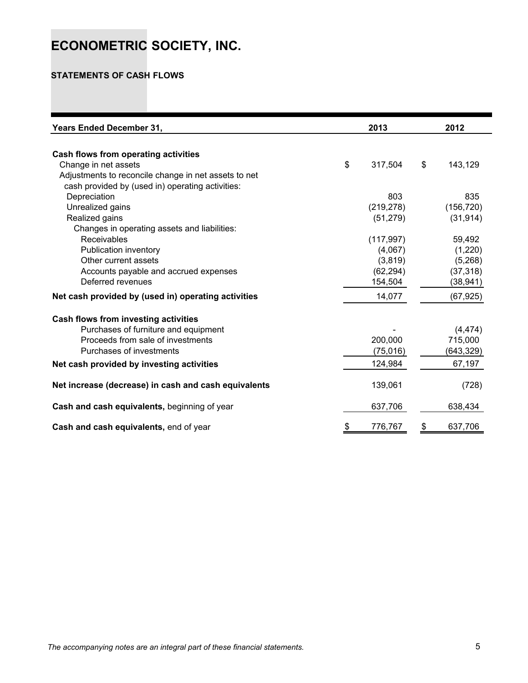### **STATEMENTS OF CASH FLOWS**

| <b>Years Ended December 31,</b>                      | 2013          | 2012          |
|------------------------------------------------------|---------------|---------------|
|                                                      |               |               |
| Cash flows from operating activities                 |               |               |
| Change in net assets                                 | \$<br>317,504 | \$<br>143,129 |
| Adjustments to reconcile change in net assets to net |               |               |
| cash provided by (used in) operating activities:     |               |               |
| Depreciation                                         | 803           | 835           |
| Unrealized gains                                     | (219, 278)    | (156, 720)    |
| Realized gains                                       | (51, 279)     | (31, 914)     |
| Changes in operating assets and liabilities:         |               |               |
| Receivables                                          | (117, 997)    | 59,492        |
| Publication inventory                                | (4,067)       | (1,220)       |
| Other current assets                                 | (3,819)       | (5,268)       |
| Accounts payable and accrued expenses                | (62, 294)     | (37, 318)     |
| Deferred revenues                                    | 154,504       | (38, 941)     |
| Net cash provided by (used in) operating activities  | 14,077        | (67, 925)     |
| Cash flows from investing activities                 |               |               |
| Purchases of furniture and equipment                 |               | (4, 474)      |
| Proceeds from sale of investments                    | 200,000       | 715,000       |
| Purchases of investments                             | (75, 016)     | (643, 329)    |
| Net cash provided by investing activities            | 124,984       | 67,197        |
| Net increase (decrease) in cash and cash equivalents | 139,061       | (728)         |
| Cash and cash equivalents, beginning of year         | 637,706       | 638,434       |
| Cash and cash equivalents, end of year               | 776,767       | \$<br>637,706 |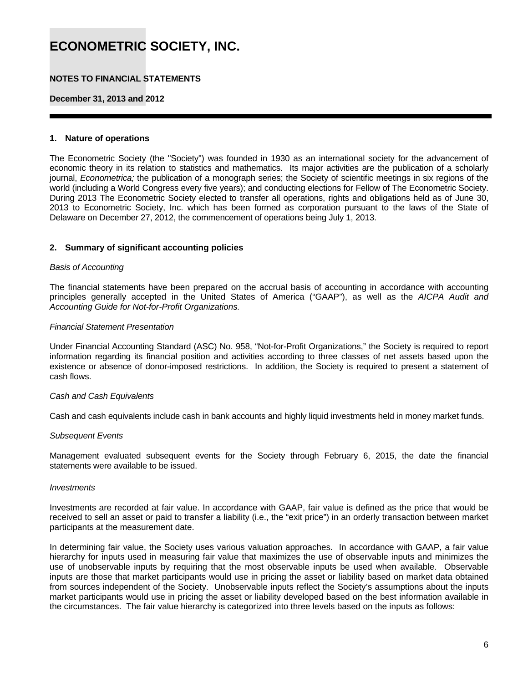### **NOTES TO FINANCIAL STATEMENTS**

**December 31, 2013 and 2012** 

#### **1. Nature of operations**

The Econometric Society (the "Society") was founded in 1930 as an international society for the advancement of economic theory in its relation to statistics and mathematics. Its major activities are the publication of a scholarly journal, *Econometrica;* the publication of a monograph series; the Society of scientific meetings in six regions of the world (including a World Congress every five years); and conducting elections for Fellow of The Econometric Society. During 2013 The Econometric Society elected to transfer all operations, rights and obligations held as of June 30, 2013 to Econometric Society, Inc. which has been formed as corporation pursuant to the laws of the State of Delaware on December 27, 2012, the commencement of operations being July 1, 2013.

#### **2. Summary of significant accounting policies**

#### *Basis of Accounting*

The financial statements have been prepared on the accrual basis of accounting in accordance with accounting principles generally accepted in the United States of America ("GAAP"), as well as the *AICPA Audit and Accounting Guide for Not-for-Profit Organizations.* 

#### *Financial Statement Presentation*

Under Financial Accounting Standard (ASC) No. 958, "Not-for-Profit Organizations," the Society is required to report information regarding its financial position and activities according to three classes of net assets based upon the existence or absence of donor-imposed restrictions. In addition, the Society is required to present a statement of cash flows.

#### *Cash and Cash Equivalents*

Cash and cash equivalents include cash in bank accounts and highly liquid investments held in money market funds.

#### *Subsequent Events*

Management evaluated subsequent events for the Society through February 6, 2015, the date the financial statements were available to be issued.

#### *Investments*

Investments are recorded at fair value. In accordance with GAAP, fair value is defined as the price that would be received to sell an asset or paid to transfer a liability (i.e., the "exit price") in an orderly transaction between market participants at the measurement date.

In determining fair value, the Society uses various valuation approaches. In accordance with GAAP, a fair value hierarchy for inputs used in measuring fair value that maximizes the use of observable inputs and minimizes the use of unobservable inputs by requiring that the most observable inputs be used when available. Observable inputs are those that market participants would use in pricing the asset or liability based on market data obtained from sources independent of the Society. Unobservable inputs reflect the Society's assumptions about the inputs market participants would use in pricing the asset or liability developed based on the best information available in the circumstances. The fair value hierarchy is categorized into three levels based on the inputs as follows: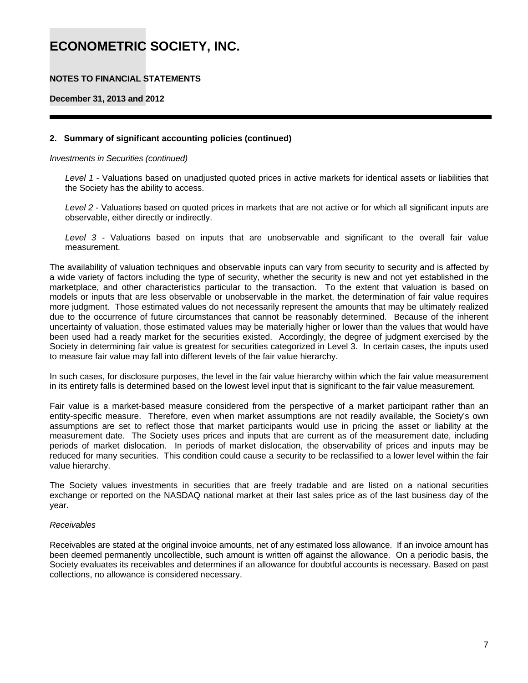### **NOTES TO FINANCIAL STATEMENTS**

**December 31, 2013 and 2012** 

#### **2. Summary of significant accounting policies (continued)**

*Investments in Securities (continued)* 

*Level 1* - Valuations based on unadjusted quoted prices in active markets for identical assets or liabilities that the Society has the ability to access.

*Level 2* - Valuations based on quoted prices in markets that are not active or for which all significant inputs are observable, either directly or indirectly.

*Level 3 -* Valuations based on inputs that are unobservable and significant to the overall fair value measurement.

The availability of valuation techniques and observable inputs can vary from security to security and is affected by a wide variety of factors including the type of security, whether the security is new and not yet established in the marketplace, and other characteristics particular to the transaction. To the extent that valuation is based on models or inputs that are less observable or unobservable in the market, the determination of fair value requires more judgment. Those estimated values do not necessarily represent the amounts that may be ultimately realized due to the occurrence of future circumstances that cannot be reasonably determined. Because of the inherent uncertainty of valuation, those estimated values may be materially higher or lower than the values that would have been used had a ready market for the securities existed. Accordingly, the degree of judgment exercised by the Society in determining fair value is greatest for securities categorized in Level 3. In certain cases, the inputs used to measure fair value may fall into different levels of the fair value hierarchy.

In such cases, for disclosure purposes, the level in the fair value hierarchy within which the fair value measurement in its entirety falls is determined based on the lowest level input that is significant to the fair value measurement.

Fair value is a market-based measure considered from the perspective of a market participant rather than an entity-specific measure. Therefore, even when market assumptions are not readily available, the Society's own assumptions are set to reflect those that market participants would use in pricing the asset or liability at the measurement date. The Society uses prices and inputs that are current as of the measurement date, including periods of market dislocation. In periods of market dislocation, the observability of prices and inputs may be reduced for many securities. This condition could cause a security to be reclassified to a lower level within the fair value hierarchy.

The Society values investments in securities that are freely tradable and are listed on a national securities exchange or reported on the NASDAQ national market at their last sales price as of the last business day of the year.

#### *Receivables*

Receivables are stated at the original invoice amounts, net of any estimated loss allowance. If an invoice amount has been deemed permanently uncollectible, such amount is written off against the allowance. On a periodic basis, the Society evaluates its receivables and determines if an allowance for doubtful accounts is necessary. Based on past collections, no allowance is considered necessary.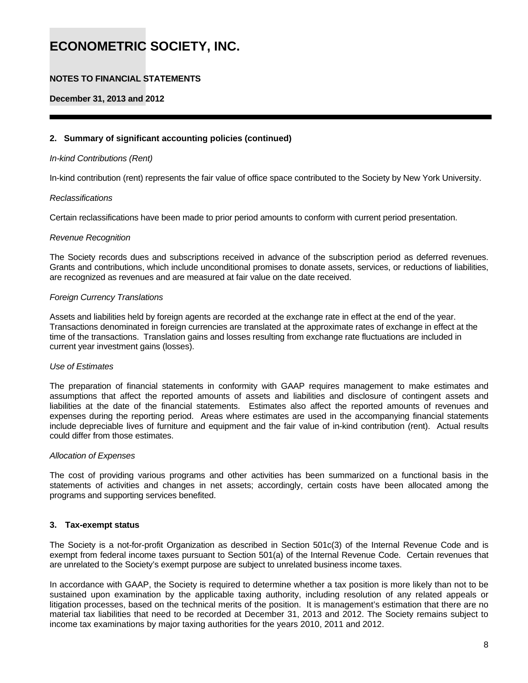### **NOTES TO FINANCIAL STATEMENTS**

#### **December 31, 2013 and 2012**

#### **2. Summary of significant accounting policies (continued)**

#### *In-kind Contributions (Rent)*

In-kind contribution (rent) represents the fair value of office space contributed to the Society by New York University.

#### *Reclassifications*

Certain reclassifications have been made to prior period amounts to conform with current period presentation.

#### *Revenue Recognition*

The Society records dues and subscriptions received in advance of the subscription period as deferred revenues. Grants and contributions, which include unconditional promises to donate assets, services, or reductions of liabilities, are recognized as revenues and are measured at fair value on the date received.

#### *Foreign Currency Translations*

Assets and liabilities held by foreign agents are recorded at the exchange rate in effect at the end of the year. Transactions denominated in foreign currencies are translated at the approximate rates of exchange in effect at the time of the transactions. Translation gains and losses resulting from exchange rate fluctuations are included in current year investment gains (losses).

#### *Use of Estimates*

The preparation of financial statements in conformity with GAAP requires management to make estimates and assumptions that affect the reported amounts of assets and liabilities and disclosure of contingent assets and liabilities at the date of the financial statements. Estimates also affect the reported amounts of revenues and expenses during the reporting period. Areas where estimates are used in the accompanying financial statements include depreciable lives of furniture and equipment and the fair value of in-kind contribution (rent). Actual results could differ from those estimates.

#### *Allocation of Expenses*

The cost of providing various programs and other activities has been summarized on a functional basis in the statements of activities and changes in net assets; accordingly, certain costs have been allocated among the programs and supporting services benefited.

#### **3. Tax-exempt status**

The Society is a not-for-profit Organization as described in Section 501c(3) of the Internal Revenue Code and is exempt from federal income taxes pursuant to Section 501(a) of the Internal Revenue Code. Certain revenues that are unrelated to the Society's exempt purpose are subject to unrelated business income taxes.

In accordance with GAAP, the Society is required to determine whether a tax position is more likely than not to be sustained upon examination by the applicable taxing authority, including resolution of any related appeals or litigation processes, based on the technical merits of the position. It is management's estimation that there are no material tax liabilities that need to be recorded at December 31, 2013 and 2012. The Society remains subject to income tax examinations by major taxing authorities for the years 2010, 2011 and 2012.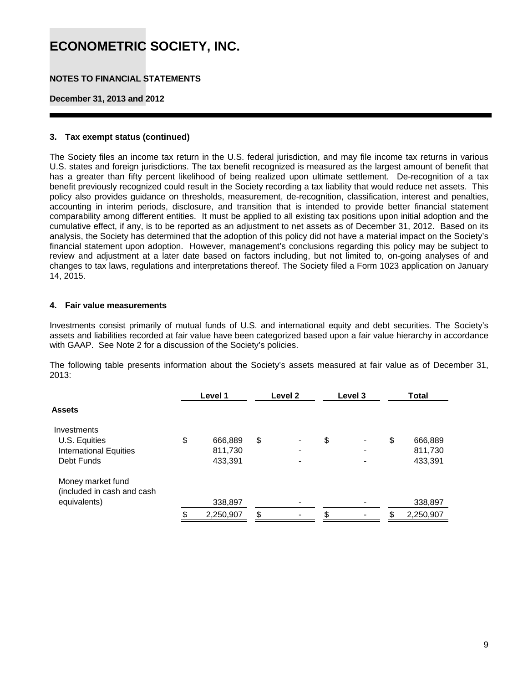### **NOTES TO FINANCIAL STATEMENTS**

#### **December 31, 2013 and 2012**

#### **3. Tax exempt status (continued)**

The Society files an income tax return in the U.S. federal jurisdiction, and may file income tax returns in various U.S. states and foreign jurisdictions. The tax benefit recognized is measured as the largest amount of benefit that has a greater than fifty percent likelihood of being realized upon ultimate settlement. De-recognition of a tax benefit previously recognized could result in the Society recording a tax liability that would reduce net assets. This policy also provides guidance on thresholds, measurement, de-recognition, classification, interest and penalties, accounting in interim periods, disclosure, and transition that is intended to provide better financial statement comparability among different entities. It must be applied to all existing tax positions upon initial adoption and the cumulative effect, if any, is to be reported as an adjustment to net assets as of December 31, 2012. Based on its analysis, the Society has determined that the adoption of this policy did not have a material impact on the Society's financial statement upon adoption. However, management's conclusions regarding this policy may be subject to review and adjustment at a later date based on factors including, but not limited to, on-going analyses of and changes to tax laws, regulations and interpretations thereof. The Society filed a Form 1023 application on January 14, 2015.

#### **4. Fair value measurements**

Investments consist primarily of mutual funds of U.S. and international equity and debt securities. The Society's assets and liabilities recorded at fair value have been categorized based upon a fair value hierarchy in accordance with GAAP. See Note 2 for a discussion of the Society's policies.

The following table presents information about the Society's assets measured at fair value as of December 31, 2013:

|                                                 | Level 1       | Level 2 | Level 3 | Total           |
|-------------------------------------------------|---------------|---------|---------|-----------------|
| <b>Assets</b>                                   |               |         |         |                 |
| Investments                                     |               |         |         |                 |
| U.S. Equities                                   | \$<br>666,889 | \$      | \$      | \$<br>666,889   |
| <b>International Equities</b>                   | 811,730       |         |         | 811,730         |
| Debt Funds                                      | 433,391       |         |         | 433,391         |
| Money market fund<br>(included in cash and cash |               |         |         |                 |
| equivalents)                                    | 338,897       |         |         | 338,897         |
|                                                 | 2,250,907     | \$      | \$      | \$<br>2,250,907 |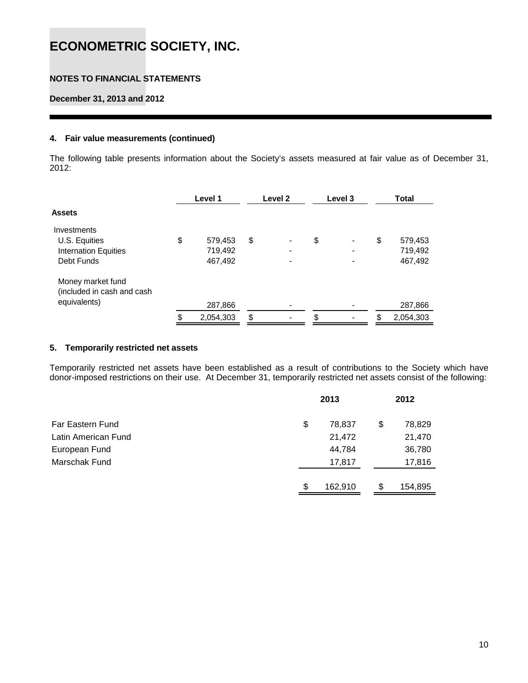### **NOTES TO FINANCIAL STATEMENTS**

**December 31, 2013 and 2012** 

#### **4. Fair value measurements (continued)**

The following table presents information about the Society's assets measured at fair value as of December 31, 2012:

|                                                                 | Level 1         | Level 2 | Level 3                        | <b>Total</b>    |
|-----------------------------------------------------------------|-----------------|---------|--------------------------------|-----------------|
| <b>Assets</b>                                                   |                 |         |                                |                 |
| Investments                                                     |                 |         |                                |                 |
| U.S. Equities                                                   | \$<br>579,453   | \$      | \$<br>$\blacksquare$           | \$<br>579,453   |
| <b>Internation Equities</b>                                     | 719,492         |         |                                | 719,492         |
| Debt Funds                                                      | 467,492         |         |                                | 467,492         |
| Money market fund<br>(included in cash and cash<br>equivalents) |                 |         |                                |                 |
|                                                                 | 287,866         |         |                                | 287,866         |
|                                                                 | \$<br>2,054,303 | \$      | \$<br>$\overline{\phantom{0}}$ | \$<br>2,054,303 |

#### **5. Temporarily restricted net assets**

Temporarily restricted net assets have been established as a result of contributions to the Society which have donor-imposed restrictions on their use. At December 31, temporarily restricted net assets consist of the following:

|                     | 2013          | 2012          |
|---------------------|---------------|---------------|
| Far Eastern Fund    | \$<br>78,837  | \$<br>78,829  |
| Latin American Fund | 21,472        | 21,470        |
| European Fund       | 44,784        | 36,780        |
| Marschak Fund       | 17,817        | 17,816        |
|                     | \$<br>162,910 | \$<br>154,895 |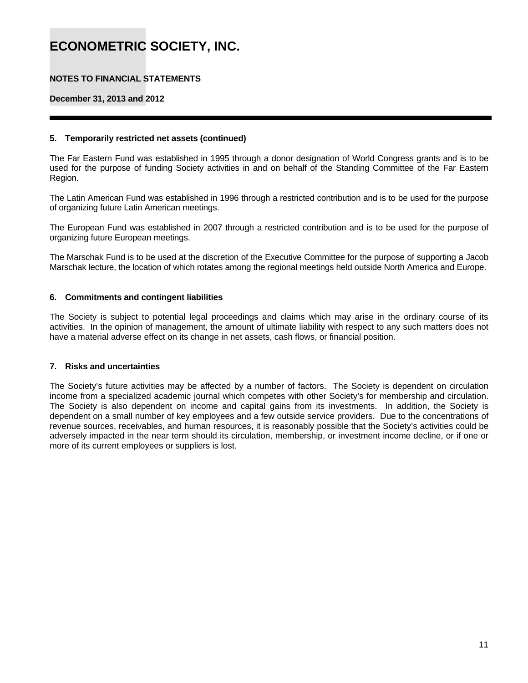### **NOTES TO FINANCIAL STATEMENTS**

**December 31, 2013 and 2012** 

#### **5. Temporarily restricted net assets (continued)**

The Far Eastern Fund was established in 1995 through a donor designation of World Congress grants and is to be used for the purpose of funding Society activities in and on behalf of the Standing Committee of the Far Eastern Region.

The Latin American Fund was established in 1996 through a restricted contribution and is to be used for the purpose of organizing future Latin American meetings.

The European Fund was established in 2007 through a restricted contribution and is to be used for the purpose of organizing future European meetings.

The Marschak Fund is to be used at the discretion of the Executive Committee for the purpose of supporting a Jacob Marschak lecture, the location of which rotates among the regional meetings held outside North America and Europe.

#### **6. Commitments and contingent liabilities**

The Society is subject to potential legal proceedings and claims which may arise in the ordinary course of its activities. In the opinion of management, the amount of ultimate liability with respect to any such matters does not have a material adverse effect on its change in net assets, cash flows, or financial position.

#### **7. Risks and uncertainties**

The Society's future activities may be affected by a number of factors. The Society is dependent on circulation income from a specialized academic journal which competes with other Society's for membership and circulation. The Society is also dependent on income and capital gains from its investments. In addition, the Society is dependent on a small number of key employees and a few outside service providers. Due to the concentrations of revenue sources, receivables, and human resources, it is reasonably possible that the Society's activities could be adversely impacted in the near term should its circulation, membership, or investment income decline, or if one or more of its current employees or suppliers is lost.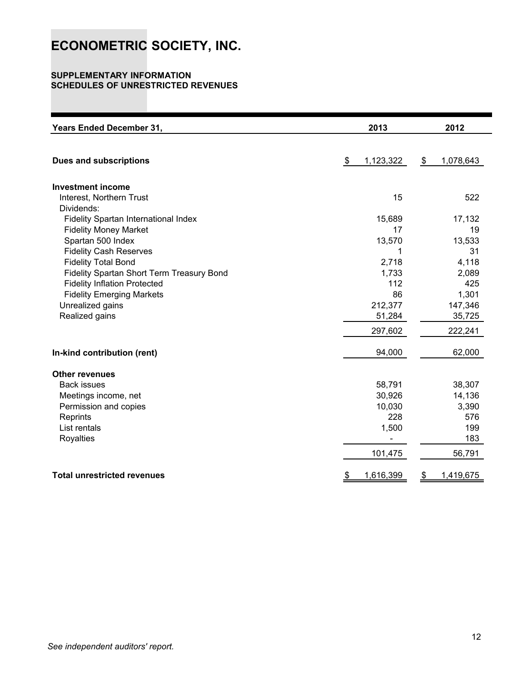#### **SUPPLEMENTARY INFORMATION SCHEDULES OF UNRESTRICTED REVENUES**

| <b>Years Ended December 31,</b>           | 2013            | 2012            |
|-------------------------------------------|-----------------|-----------------|
|                                           |                 |                 |
| <b>Dues and subscriptions</b>             | 1,123,322<br>\$ | 1,078,643<br>\$ |
| <b>Investment income</b>                  |                 |                 |
| Interest, Northern Trust                  | 15              | 522             |
| Dividends:                                |                 |                 |
| Fidelity Spartan International Index      | 15,689          | 17,132          |
| <b>Fidelity Money Market</b>              | 17              | 19              |
| Spartan 500 Index                         | 13,570          | 13,533          |
| <b>Fidelity Cash Reserves</b>             | 1               | 31              |
| <b>Fidelity Total Bond</b>                | 2,718           | 4,118           |
| Fidelity Spartan Short Term Treasury Bond | 1,733           | 2,089           |
| <b>Fidelity Inflation Protected</b>       | 112             | 425             |
| <b>Fidelity Emerging Markets</b>          | 86              | 1,301           |
| Unrealized gains                          | 212,377         | 147,346         |
| Realized gains                            | 51,284          | 35,725          |
|                                           | 297,602         | 222,241         |
| In-kind contribution (rent)               | 94,000          | 62,000          |
| <b>Other revenues</b>                     |                 |                 |
| <b>Back issues</b>                        | 58,791          | 38,307          |
| Meetings income, net                      | 30,926          | 14,136          |
| Permission and copies                     | 10,030          | 3,390           |
| Reprints                                  | 228             | 576             |
| List rentals                              | 1,500           | 199             |
| <b>Royalties</b>                          |                 | 183             |
|                                           | 101,475         | 56,791          |
| <b>Total unrestricted revenues</b>        | 1,616,399<br>\$ | 1,419,675<br>\$ |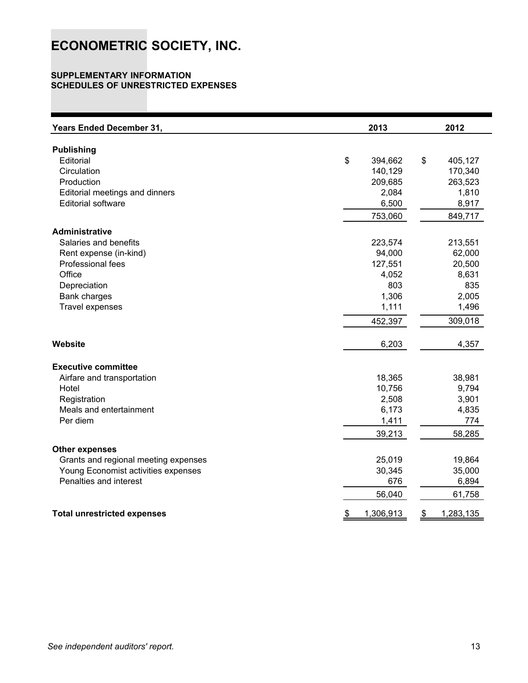#### **SUPPLEMENTARY INFORMATION SCHEDULES OF UNRESTRICTED EXPENSES**

| <b>Years Ended December 31,</b>      | 2013            | 2012            |
|--------------------------------------|-----------------|-----------------|
| <b>Publishing</b>                    |                 |                 |
| Editorial                            | \$<br>394,662   | \$<br>405,127   |
| Circulation                          | 140,129         | 170,340         |
| Production                           | 209,685         | 263,523         |
| Editorial meetings and dinners       | 2,084           | 1,810           |
| <b>Editorial software</b>            | 6,500           | 8,917           |
|                                      | 753,060         | 849,717         |
| <b>Administrative</b>                |                 |                 |
| Salaries and benefits                | 223,574         | 213,551         |
| Rent expense (in-kind)               | 94,000          | 62,000          |
| Professional fees                    | 127,551         | 20,500          |
| Office                               | 4,052           | 8,631           |
| Depreciation                         | 803             | 835             |
| Bank charges                         | 1,306           | 2,005           |
| <b>Travel expenses</b>               | 1,111           | 1,496           |
|                                      | 452,397         | 309,018         |
| Website                              | 6,203           | 4,357           |
| <b>Executive committee</b>           |                 |                 |
| Airfare and transportation           | 18,365          | 38,981          |
| Hotel                                | 10,756          | 9,794           |
| Registration                         | 2,508           | 3,901           |
| Meals and entertainment              | 6,173           | 4,835           |
| Per diem                             | 1,411           | 774             |
|                                      | 39,213          | 58,285          |
| <b>Other expenses</b>                |                 |                 |
| Grants and regional meeting expenses | 25,019          | 19,864          |
| Young Economist activities expenses  | 30,345          | 35,000          |
| Penalties and interest               | 676             | 6,894           |
|                                      | 56,040          | 61,758          |
| <b>Total unrestricted expenses</b>   | \$<br>1,306,913 | \$<br>1,283,135 |